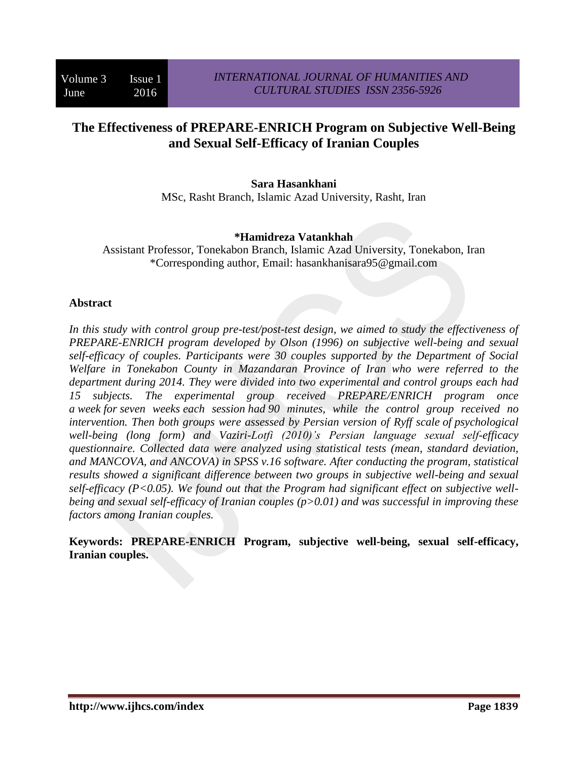# **The Effectiveness of PREPARE-ENRICH Program on Subjective Well-Being and Sexual Self-Efficacy of Iranian Couples**

**Sara Hasankhani** MSc, Rasht Branch, Islamic Azad University, Rasht, Iran

### **\*Hamidreza Vatankhah**

Assistant Professor, Tonekabon Branch, Islamic Azad University, Tonekabon, Iran \*Corresponding author, Email: hasankhanisara95@gmail.com

### **Abstract**

*In this study with control group pre-test/post-test design, we aimed to study the effectiveness of PREPARE-ENRICH program developed by Olson (1996) on subjective well-being and sexual self-efficacy of couples. Participants were 30 couples supported by the Department of Social Welfare in Tonekabon County in Mazandaran Province of Iran who were referred to the department during 2014. They were divided into two experimental and control groups each had 15 subjects. The experimental group received PREPARE/ENRICH program once a week for seven weeks each session had 90 minutes, while the control group received no intervention. Then both groups were assessed by Persian version of Ryff scale of psychological well-being (long form) and Vaziri-Lotfi (2010)'s Persian language sexual self-efficacy questionnaire. Collected data were analyzed using statistical tests (mean, standard deviation, and MANCOVA, and ANCOVA) in SPSS v.16 software. After conducting the program, statistical results showed a significant difference between two groups in subjective well-being and sexual self-efficacy (P<0.05). We found out that the Program had significant effect on subjective wellbeing and sexual self-efficacy of Iranian couples (p>0.01) and was successful in improving these factors among Iranian couples.*

**Keywords: PREPARE-ENRICH Program, subjective well-being, sexual self-efficacy, Iranian couples.**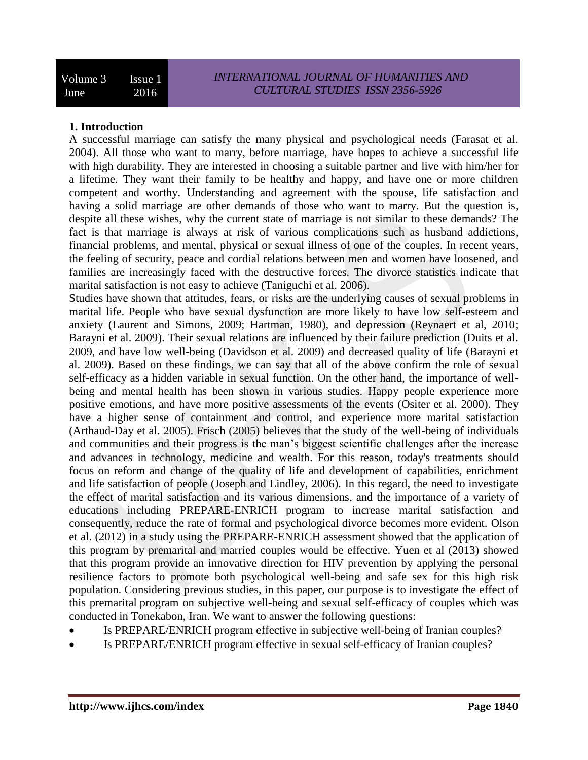### **1. Introduction**

A successful marriage can satisfy the many physical and psychological needs (Farasat et al. 2004). All those who want to marry, before marriage, have hopes to achieve a successful life with high durability. They are interested in choosing a suitable partner and live with him/her for a lifetime. They want their family to be healthy and happy, and have one or more children competent and worthy. Understanding and agreement with the spouse, life satisfaction and having a solid marriage are other demands of those who want to marry. But the question is, despite all these wishes, why the current state of marriage is not similar to these demands? The fact is that marriage is always at risk of various complications such as husband addictions, financial problems, and mental, physical or sexual illness of one of the couples. In recent years, the feeling of security, peace and cordial relations between men and women have loosened, and families are increasingly faced with the destructive forces. The divorce statistics indicate that marital satisfaction is not easy to achieve (Taniguchi et al. 2006).

Studies have shown that attitudes, fears, or risks are the underlying causes of sexual problems in marital life. People who have sexual dysfunction are more likely to have low self-esteem and anxiety (Laurent and Simons, 2009; Hartman, 1980), and depression (Reynaert et al, 2010; Barayni et al. 2009). Their sexual relations are influenced by their failure prediction (Duits et al. 2009, and have low well-being (Davidson et al. 2009) and decreased quality of life (Barayni et al. 2009). Based on these findings, we can say that all of the above confirm the role of sexual self-efficacy as a hidden variable in sexual function. On the other hand, the importance of wellbeing and mental health has been shown in various studies. Happy people experience more positive emotions, and have more positive assessments of the events (Ositer et al. 2000). They have a higher sense of containment and control, and experience more marital satisfaction (Arthaud-Day et al. 2005). Frisch (2005) believes that the study of the well-being of individuals and communities and their progress is the man's biggest scientific challenges after the increase and advances in technology, medicine and wealth. For this reason, today's treatments should focus on reform and change of the quality of life and development of capabilities, enrichment and life satisfaction of people (Joseph and Lindley, 2006). In this regard, the need to investigate the effect of marital satisfaction and its various dimensions, and the importance of a variety of educations including PREPARE-ENRICH program to increase marital satisfaction and consequently, reduce the rate of formal and psychological divorce becomes more evident. Olson et al. (2012) in a study using the PREPARE-ENRICH assessment showed that the application of this program by premarital and married couples would be effective. Yuen et al (2013) showed that this program provide an innovative direction for HIV prevention by applying the personal resilience factors to promote both psychological well-being and safe sex for this high risk population. Considering previous studies, in this paper, our purpose is to investigate the effect of this premarital program on subjective well-being and sexual self-efficacy of couples which was conducted in Tonekabon, Iran. We want to answer the following questions:

- Is PREPARE/ENRICH program effective in subjective well-being of Iranian couples?
- Is PREPARE/ENRICH program effective in sexual self-efficacy of Iranian couples?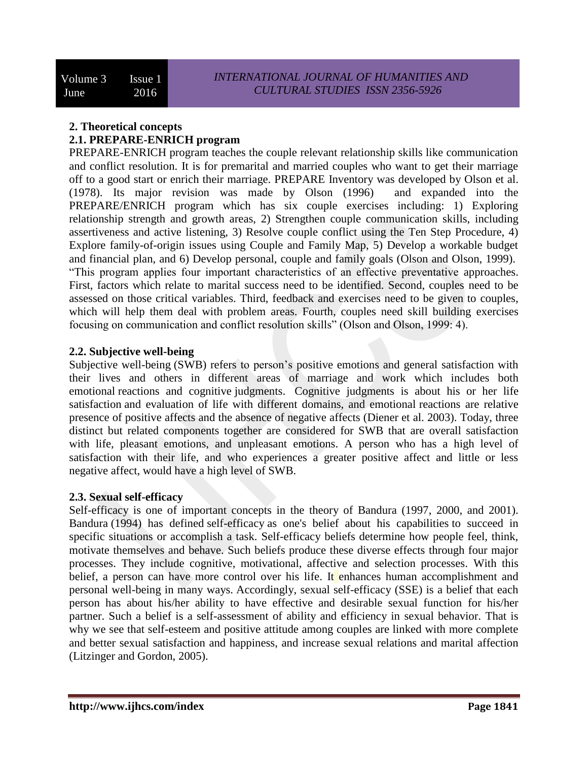# **2. Theoretical concepts 2.1. PREPARE-ENRICH program**

PREPARE-ENRICH program teaches the couple relevant relationship skills like communication and conflict resolution. It is for premarital and married couples who want to get their marriage off to a good start or enrich their marriage. PREPARE Inventory was developed by Olson et al. (1978). Its major revision was made by Olson (1996) and expanded into the PREPARE/ENRICH program which has six couple exercises including: 1) Exploring relationship strength and growth areas, 2) Strengthen couple communication skills, including assertiveness and active listening, 3) Resolve couple conflict using the Ten Step Procedure, 4) Explore family-of-origin issues using Couple and Family Map, 5) Develop a workable budget and financial plan, and 6) Develop personal, couple and family goals (Olson and Olson, 1999). "This program applies four important characteristics of an effective preventative approaches. First, factors which relate to marital success need to be identified. Second, couples need to be assessed on those critical variables. Third, feedback and exercises need to be given to couples, which will help them deal with problem areas. Fourth, couples need skill building exercises focusing on communication and conflict resolution skills" (Olson and Olson, 1999: 4).

# **2.2. Subjective well-being**

Subjective well-being (SWB) refers to person's positive emotions and general satisfaction with their lives and others in different areas of marriage and work which includes both emotional reactions and cognitive judgments. Cognitive judgments is about his or her life satisfaction and evaluation of life with different domains, and emotional reactions are relative presence of positive affects and the absence of negative affects (Diener et al. 2003). Today, three distinct but related components together are considered for SWB that are overall satisfaction with life, pleasant emotions, and unpleasant emotions. A person who has a high level of satisfaction with their life, and who experiences a greater positive affect and little or less negative affect, would have a high level of SWB.

### **2.3. Sexual self-efficacy**

Self-efficacy is one of important concepts in the theory of Bandura (1997, 2000, and 2001). Bandura (1994) has defined self-efficacy as one's belief about his capabilities to succeed in specific situations or accomplish a task. Self-efficacy beliefs determine how people feel, think, motivate themselves and behave. Such beliefs produce these diverse effects through four major processes. They include cognitive, motivational, affective and selection processes. With this belief, a person can have more control over his life. It enhances human accomplishment and personal well-being in many ways. Accordingly, sexual self-efficacy (SSE) is a belief that each person has about his/her ability to have effective and desirable sexual function for his/her partner. Such a belief is a self-assessment of ability and efficiency in sexual behavior. That is why we see that self-esteem and positive attitude among couples are linked with more complete and better sexual satisfaction and happiness, and increase sexual relations and marital affection (Litzinger and Gordon, 2005).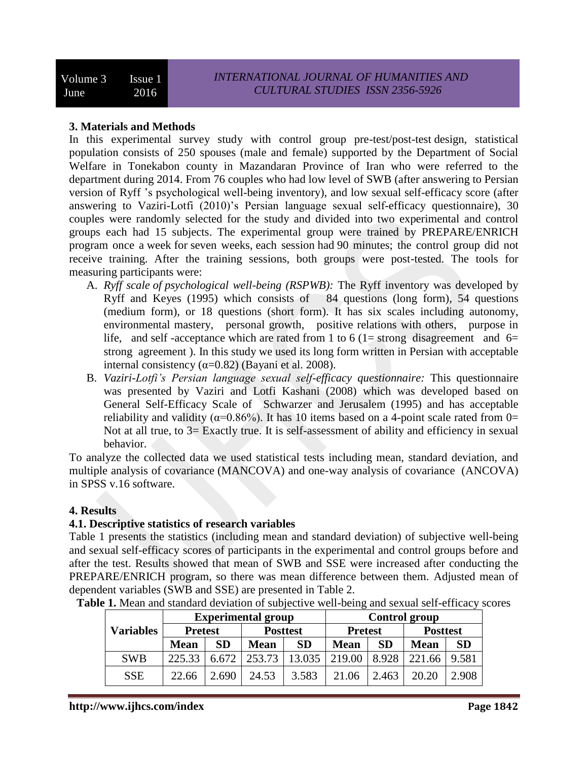### **3. Materials and Methods**

In this experimental survey study with control group pre-test/post-test design, statistical population consists of 250 spouses (male and female) supported by the Department of Social Welfare in Tonekabon county in Mazandaran Province of Iran who were referred to the department during 2014. From 76 couples who had low level of SWB (after answering to Persian version of Ryff 's psychological well-being inventory), and low sexual self-efficacy score (after answering to Vaziri-Lotfi (2010)'s Persian language sexual self-efficacy questionnaire), 30 couples were randomly selected for the study and divided into two experimental and control groups each had 15 subjects. The experimental group were trained by PREPARE/ENRICH program once a week for seven weeks, each session had 90 minutes; the control group did not receive training. After the training sessions, both groups were post-tested. The tools for measuring participants were:

- A. *Ryff scale of psychological well-being (RSPWB):* The Ryff inventory was developed by Ryff and Keyes (1995) which consists of 84 questions (long form), 54 questions (medium form), or 18 questions (short form). It has six scales including autonomy, environmental mastery, personal growth, positive relations with others, purpose in life, and self-acceptance which are rated from 1 to 6 (1= strong disagreement and  $6=$ strong agreement ). In this study we used its long form written in Persian with acceptable internal consistency  $(\alpha=0.82)$  (Bayani et al. 2008).
- B. *Vaziri-Lotfi's Persian language sexual self-efficacy questionnaire:* This questionnaire was presented by Vaziri and Lotfi Kashani (2008) which was developed based on General Self-Efficacy Scale ofSchwarzer and Jerusalem (1995) and has acceptable reliability and validity ( $\alpha$ =0.86%). It has 10 items based on a 4-point scale rated from 0= Not at all true, to  $3=$  Exactly true. It is self-assessment of ability and efficiency in sexual behavior.

To analyze the collected data we used statistical tests including mean, standard deviation, and multiple analysis of covariance (MANCOVA) and one-way analysis of covariance (ANCOVA) in SPSS v.16 software.

#### **4. Results**

#### **4.1. Descriptive statistics of research variables**

Table 1 presents the statistics (including mean and standard deviation) of subjective well-being and sexual self-efficacy scores of participants in the experimental and control groups before and after the test. Results showed that mean of SWB and SSE were increased after conducting the PREPARE/ENRICH program, so there was mean difference between them. Adjusted mean of dependent variables (SWB and SSE) are presented in Table 2.

|                  | <b>Experimental group</b> |           |                 |                 | <b>Control group</b> |           |                 |           |
|------------------|---------------------------|-----------|-----------------|-----------------|----------------------|-----------|-----------------|-----------|
| <b>Variables</b> | <b>Pretest</b>            |           | <b>Posttest</b> |                 | <b>Pretest</b>       |           | <b>Posttest</b> |           |
|                  | <b>Mean</b>               | <b>SD</b> | <b>Mean</b>     | <b>SD</b>       | <b>Mean</b>          | <b>SD</b> | <b>Mean</b>     | <b>SD</b> |
| <b>SWB</b>       | 225.33                    | 6.672     |                 | 253.73   13.035 | 219.00               | 8.928     | 221.66          | 9.581     |
| <b>SSE</b>       | 22.66                     | 2.690     | 24.53           | 3.583           | 21.06                | 2.463     | 20.20           | 2.908     |

**Table 1.** Mean and standard deviation of subjective well-being and sexual self-efficacy scores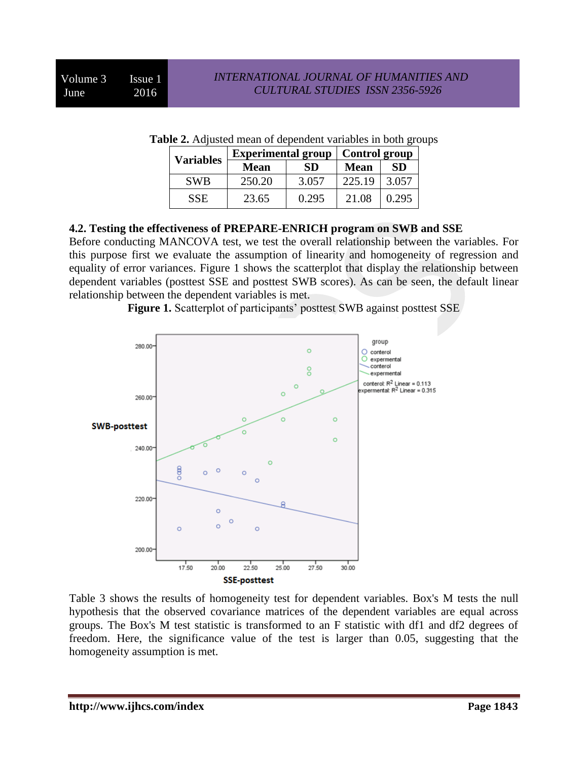| <b>Variables</b> | <b>Experimental group</b> |           | <b>Control group</b> |           |  |
|------------------|---------------------------|-----------|----------------------|-----------|--|
|                  | <b>Mean</b>               | <b>SD</b> | <b>Mean</b>          | <b>SD</b> |  |
| <b>SWB</b>       | 250.20                    | 3.057     | 225.19               | 3.057     |  |
| <b>SSE</b>       | 23.65                     | 0.295     | 21.08                | 0.295     |  |

**Table 2.** Adjusted mean of dependent variables in both groups

### **4.2. Testing the effectiveness of PREPARE-ENRICH program on SWB and SSE**

Before conducting MANCOVA test, we test the overall relationship between the variables. For this purpose first we evaluate the assumption of linearity and homogeneity of regression and equality of error variances. Figure 1 shows the scatterplot that display the relationship between dependent variables (posttest SSE and posttest SWB scores). As can be seen, the default linear relationship between the dependent variables is met.

**Figure 1.** Scatterplot of participants' posttest SWB against posttest SSE



Table 3 shows the results of homogeneity test for dependent variables. Box's M tests the null hypothesis that the observed covariance matrices of the dependent variables are equal across groups. The Box's M test statistic is transformed to an F statistic with df1 and df2 degrees of freedom. Here, the significance value of the test is larger than 0.05, suggesting that the homogeneity assumption is met.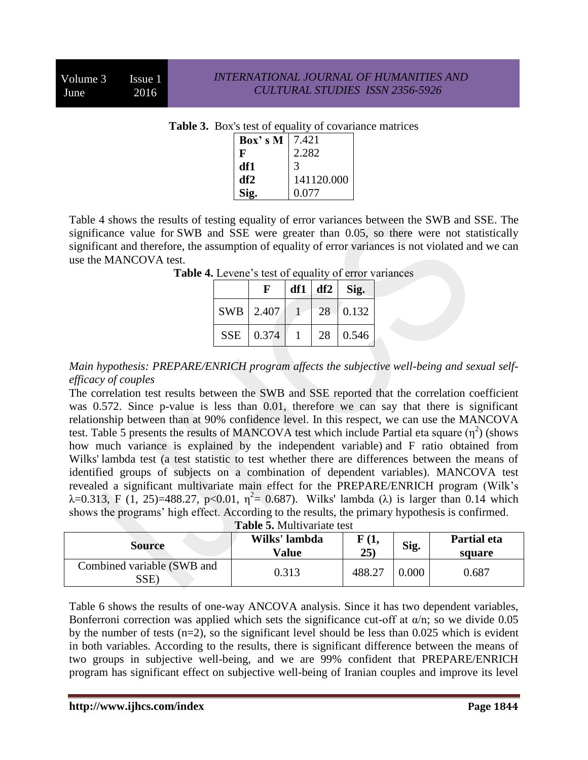| Box's M | 7.421      |  |  |  |  |
|---------|------------|--|--|--|--|
| F       | 2.282      |  |  |  |  |
| df1     | 3          |  |  |  |  |
| df2     | 141120.000 |  |  |  |  |
| Sig.    | 0.077      |  |  |  |  |

**Table 3.** Box's test of equality of covariance matrices

Table 4 shows the results of testing equality of error variances between the SWB and SSE. The significance value for SWB and SSE were greater than 0.05, so there were not statistically significant and therefore, the assumption of equality of error variances is not violated and we can use the MANCOVA test.

|            | F         | $df1 \mid df2$ | Sig.     |
|------------|-----------|----------------|----------|
|            | SWB 2.407 |                | 28 0.132 |
| <b>SSE</b> | 0.374     | 28             | 0.546    |

**Table 4.** Levene's test of equality of error variances

*Main hypothesis: PREPARE/ENRICH program affects the subjective well-being and sexual selfefficacy of couples*

The correlation test results between the SWB and SSE reported that the correlation coefficient was 0.572. Since p-value is less than 0.01, therefore we can say that there is significant relationship between than at 90% confidence level. In this respect, we can use the MANCOVA test. Table 5 presents the results of MANCOVA test which include Partial eta square  $(\eta^2)$  (shows how much variance is explained by the independent variable) and F ratio obtained from Wilks' lambda test (a test statistic to test whether there are differences between the means of identified groups of subjects on a combination of dependent variables). MANCOVA test revealed a significant multivariate main effect for the PREPARE/ENRICH program (Wilk's  $\lambda$ =0.313, F (1, 25)=488.27, p<0.01,  $\eta^2$ = 0.687). Wilks' lambda ( $\lambda$ ) is larger than 0.14 which shows the programs' high effect. According to the results, the primary hypothesis is confirmed.

|  | <b>Table 5. Multivariate test</b> |  |
|--|-----------------------------------|--|
|--|-----------------------------------|--|

| <b>Source</b>                      | Wilks' lambda<br><b>Value</b> | F(1,<br>25) | Sig.  | Partial eta<br>square |  |
|------------------------------------|-------------------------------|-------------|-------|-----------------------|--|
| Combined variable (SWB and<br>SSE) | 0.313                         | 488.27      | 0.000 | 0.687                 |  |

Table 6 shows the results of one-way ANCOVA analysis. Since it has two dependent variables, Bonferroni correction was applied which sets the significance cut-off at  $\alpha/n$ ; so we divide 0.05 by the number of tests (n=2), so the significant level should be less than 0.025 which is evident in both variables. According to the results, there is significant difference between the means of two groups in subjective well-being, and we are 99% confident that PREPARE/ENRICH program has significant effect on subjective well-being of Iranian couples and improve its level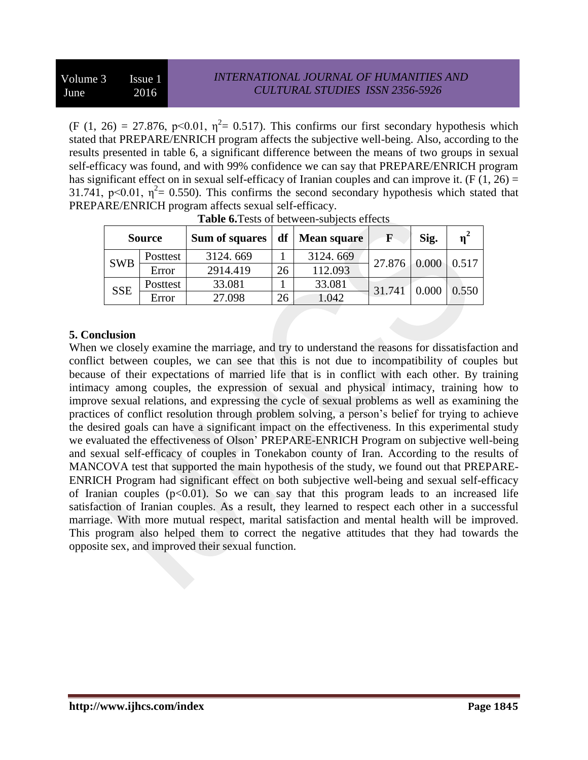(F (1, 26) = 27.876, p<0.01,  $\eta^2$  = 0.517). This confirms our first secondary hypothesis which stated that PREPARE/ENRICH program affects the subjective well-being. Also, according to the results presented in table 6, a significant difference between the means of two groups in sexual self-efficacy was found, and with 99% confidence we can say that PREPARE/ENRICH program has significant effect on in sexual self-efficacy of Iranian couples and can improve it. (F  $(1, 26)$  = 31.741, p<0.01,  $\eta^2$  = 0.550). This confirms the second secondary hypothesis which stated that PREPARE/ENRICH program affects sexual self-efficacy.

| <b>Source</b> |          | Sum of squares | df | <b>Mean square</b> | F      | Sig.     | $n^2$ |
|---------------|----------|----------------|----|--------------------|--------|----------|-------|
| <b>SWB</b>    | Posttest | 3124.669       |    | 3124.669           | 27.876 | $-0.000$ | 0.517 |
|               | Error    | 2914.419       | 26 | 112.093            |        |          |       |
| <b>SSE</b>    | Posttest | 33.081         |    | 33.081             | 31.741 |          | 0.550 |
|               | Error    | 27.098         | 26 | .042               |        |          |       |

| Table 6. Tests of between-subjects effects |  |  |
|--------------------------------------------|--|--|

# **5. Conclusion**

When we closely examine the marriage, and try to understand the reasons for dissatisfaction and conflict between couples, we can see that this is not due to incompatibility of couples but because of their expectations of married life that is in conflict with each other. By training intimacy among couples, the expression of sexual and physical intimacy, training how to improve sexual relations, and expressing the cycle of sexual problems as well as examining the practices of conflict resolution through problem solving, a person's belief for trying to achieve the desired goals can have a significant impact on the effectiveness. In this experimental study we evaluated the effectiveness of Olson' PREPARE-ENRICH Program on subjective well-being and sexual self-efficacy of couples in Tonekabon county of Iran. According to the results of MANCOVA test that supported the main hypothesis of the study, we found out that PREPARE-ENRICH Program had significant effect on both subjective well-being and sexual self-efficacy of Iranian couples  $(p<0.01)$ . So we can say that this program leads to an increased life satisfaction of Iranian couples. As a result, they learned to respect each other in a successful marriage. With more mutual respect, marital satisfaction and mental health will be improved. This program also helped them to correct the negative attitudes that they had towards the opposite sex, and improved their sexual function.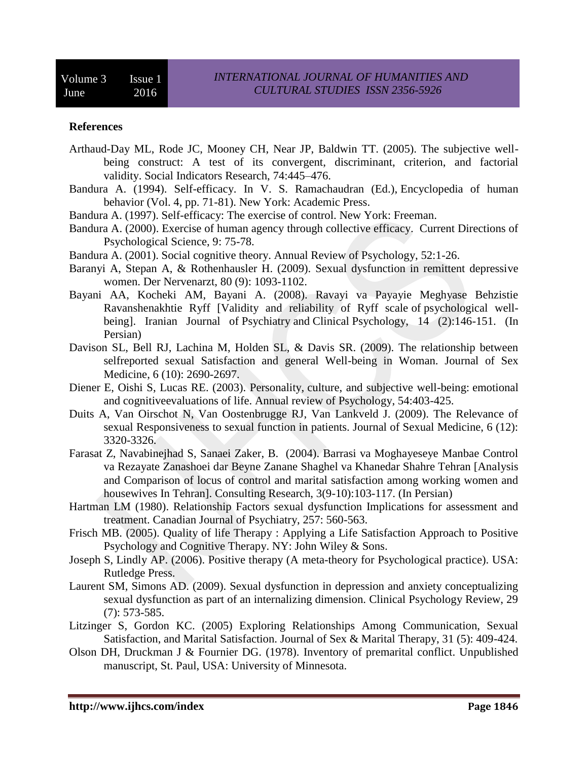#### **References**

- Arthaud-Day ML, Rode JC, Mooney CH, Near JP, Baldwin TT. (2005). The subjective wellbeing construct: A test of its convergent, discriminant, criterion, and factorial validity. Social Indicators Research, 74:445–476.
- Bandura A. (1994). Self-efficacy. In V. S. Ramachaudran (Ed.), Encyclopedia of human behavior (Vol. 4, pp. 71-81). New York: Academic Press.
- Bandura A. (1997). Self-efficacy: The exercise of control. New York: Freeman.
- Bandura A. (2000). Exercise of human agency through collective efficacy. Current Directions of Psychological Science, 9: 75-78.
- Bandura A. (2001). Social cognitive theory. Annual Review of Psychology, 52:1-26.
- Baranyi A, Stepan A, & Rothenhausler H. (2009). Sexual dysfunction in remittent depressive women. Der Nervenarzt, 80 (9): 1093-1102.
- Bayani AA, Kocheki AM, Bayani A. (2008). Ravayi va Payayie Meghyase Behzistie Ravanshenakhtie Ryff [Validity and reliability of Ryff scale of psychological wellbeing]. Iranian Journal of Psychiatry and Clinical Psychology, 14 (2):146-151. (In Persian)
- Davison SL, Bell RJ, Lachina M, Holden SL, & Davis SR. (2009). The relationship between selfreported sexual Satisfaction and general Well-being in Woman. Journal of Sex Medicine, 6 (10): 2690-2697.
- Diener E, Oishi S, Lucas RE. (2003). Personality, culture, and subjective well-being: emotional and cognitiveevaluations of life. Annual review of Psychology, 54:403-425.
- Duits A, Van Oirschot N, Van Oostenbrugge RJ, Van Lankveld J. (2009). The Relevance of sexual Responsiveness to sexual function in patients. Journal of Sexual Medicine, 6 (12): 3320-3326.
- Farasat Z, Navabinejhad S, Sanaei Zaker, B. (2004). Barrasi va Moghayeseye Manbae Control va Rezayate Zanashoei dar Beyne Zanane Shaghel va Khanedar Shahre Tehran [Analysis and Comparison of locus of control and marital satisfaction among working women and housewives In Tehran]. Consulting Research, 3(9-10):103-117. (In Persian)
- Hartman LM (1980). Relationship Factors sexual dysfunction Implications for assessment and treatment. Canadian Journal of Psychiatry, 257: 560-563.
- Frisch MB. (2005). Quality of life Therapy : Applying a Life Satisfaction Approach to Positive Psychology and Cognitive Therapy. NY: John Wiley & Sons.
- Joseph S, Lindly AP. (2006). Positive therapy (A meta-theory for Psychological practice). USA: Rutledge Press.
- Laurent SM, Simons AD. (2009). Sexual dysfunction in depression and anxiety conceptualizing sexual dysfunction as part of an internalizing dimension. Clinical Psychology Review, 29 (7): 573-585.
- Litzinger S, Gordon KC. (2005) Exploring Relationships Among Communication, Sexual Satisfaction, and Marital Satisfaction. Journal of Sex & Marital Therapy, 31 (5): 409-424.
- Olson DH, Druckman J & Fournier DG. (1978). Inventory of premarital conflict. Unpublished manuscript, St. Paul, USA: University of Minnesota.